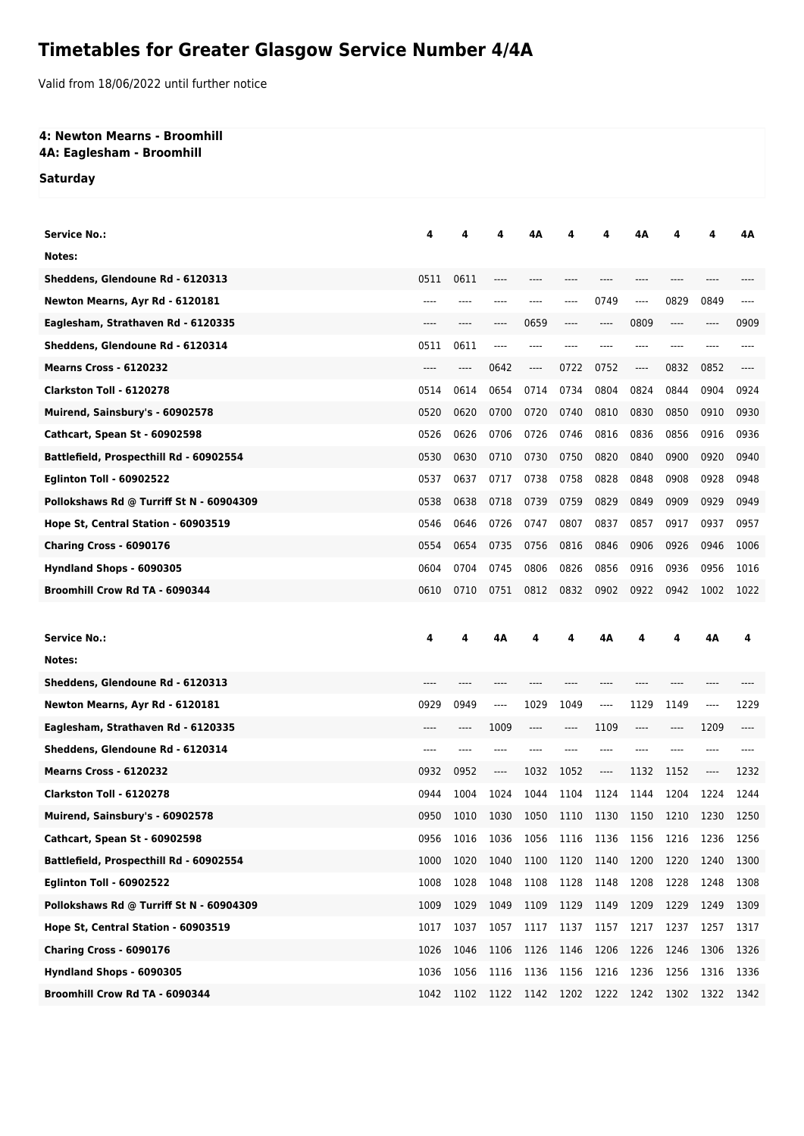# **Timetables for Greater Glasgow Service Number 4/4A**

Valid from 18/06/2022 until further notice

#### **4: Newton Mearns - Broomhill 4A: Eaglesham - Broomhill**

**Saturday**

| <b>Service No.:</b>                      | 4     | 4    | 4                             | 4Α                       |      | 4                             | 4Α    |      | 4       | 4Α   |
|------------------------------------------|-------|------|-------------------------------|--------------------------|------|-------------------------------|-------|------|---------|------|
| Notes:                                   |       |      |                               |                          |      |                               |       |      |         |      |
| Sheddens, Glendoune Rd - 6120313         | 0511  | 0611 | ----                          |                          |      |                               | ----  | ---- |         |      |
| Newton Mearns, Ayr Rd - 6120181          | ----  |      |                               | ----                     | ---- | 0749                          | ----  | 0829 | 0849    | ---- |
| Eaglesham, Strathaven Rd - 6120335       |       |      |                               | 0659                     |      | $-----$                       | 0809  | ---- | ----    | 0909 |
| Sheddens, Glendoune Rd - 6120314         | 0511  | 0611 | $---$                         |                          |      |                               | ----  |      |         |      |
| <b>Mearns Cross - 6120232</b>            | ----  | ---- | 0642                          | ----                     | 0722 | 0752                          | ----  | 0832 | 0852    | ---- |
| Clarkston Toll - 6120278                 | 0514  | 0614 | 0654                          | 0714                     | 0734 | 0804                          | 0824  | 0844 | 0904    | 0924 |
| Muirend, Sainsbury's - 60902578          | 0520  | 0620 | 0700                          | 0720                     | 0740 | 0810                          | 0830  | 0850 | 0910    | 0930 |
| Cathcart, Spean St - 60902598            | 0526  | 0626 | 0706                          | 0726                     | 0746 | 0816                          | 0836  | 0856 | 0916    | 0936 |
| Battlefield, Prospecthill Rd - 60902554  | 0530  | 0630 | 0710                          | 0730                     | 0750 | 0820                          | 0840  | 0900 | 0920    | 0940 |
| <b>Eglinton Toll - 60902522</b>          | 0537  | 0637 | 0717                          | 0738                     | 0758 | 0828                          | 0848  | 0908 | 0928    | 0948 |
| Pollokshaws Rd @ Turriff St N - 60904309 | 0538  | 0638 | 0718                          | 0739                     | 0759 | 0829                          | 0849  | 0909 | 0929    | 0949 |
| Hope St, Central Station - 60903519      | 0546  | 0646 | 0726                          | 0747                     | 0807 | 0837                          | 0857  | 0917 | 0937    | 0957 |
| Charing Cross - 6090176                  | 0554  | 0654 | 0735                          | 0756                     | 0816 | 0846                          | 0906  | 0926 | 0946    | 1006 |
| Hyndland Shops - 6090305                 | 0604  | 0704 | 0745                          | 0806                     | 0826 | 0856                          | 0916  | 0936 | 0956    | 1016 |
| Broomhill Crow Rd TA - 6090344           | 0610  | 0710 | 0751                          | 0812                     | 0832 | 0902                          | 0922  | 0942 | 1002    | 1022 |
|                                          |       |      |                               |                          |      |                               |       |      |         |      |
|                                          |       |      |                               |                          |      |                               |       |      |         |      |
| <b>Service No.:</b>                      | 4     | 4    | 4Α                            | 4                        | 4    | 4Α                            | 4     | 4    | 4Α      | 4    |
| Notes:                                   |       |      |                               |                          |      |                               |       |      |         |      |
| Sheddens, Glendoune Rd - 6120313         | $---$ |      |                               |                          |      | ----                          |       |      |         |      |
| Newton Mearns, Ayr Rd - 6120181          | 0929  | 0949 | $---$                         | 1029                     | 1049 | $---$                         | 1129  | 1149 | $---$   | 1229 |
| Eaglesham, Strathaven Rd - 6120335       | $---$ | ---- | 1009                          | ----                     | ---- | 1109                          | $---$ | ---- | 1209    |      |
| Sheddens, Glendoune Rd - 6120314         | ----  | ---- | ----                          |                          |      | $---$                         | $---$ | ---- | ----    |      |
| <b>Mearns Cross - 6120232</b>            | 0932  | 0952 | $\hspace{1.5cm} \textbf{---}$ | 1032                     | 1052 | $\hspace{1.5cm} \textbf{---}$ | 1132  | 1152 | $-----$ | 1232 |
| Clarkston Toll - 6120278                 | 0944  | 1004 | 1024                          | 1044                     | 1104 | 1124                          | 1144  | 1204 | 1224    | 1244 |
| Muirend, Sainsbury's - 60902578          | 0950  | 1010 |                               | 1030 1050 1110 1130 1150 |      |                               |       | 1210 | 1230    | 1250 |
| <b>Cathcart, Spean St - 60902598</b>     | 0956  | 1016 | 1036                          | 1056                     | 1116 | 1136                          | 1156  | 1216 | 1236    | 1256 |
| Battlefield, Prospecthill Rd - 60902554  | 1000  | 1020 | 1040                          | 1100                     | 1120 | 1140                          | 1200  | 1220 | 1240    | 1300 |
| <b>Eglinton Toll - 60902522</b>          | 1008  | 1028 | 1048                          | 1108                     | 1128 | 1148                          | 1208  | 1228 | 1248    | 1308 |
| Pollokshaws Rd @ Turriff St N - 60904309 | 1009  | 1029 | 1049                          | 1109                     | 1129 | 1149                          | 1209  | 1229 | 1249    | 1309 |
| Hope St, Central Station - 60903519      | 1017  | 1037 | 1057                          | 1117                     | 1137 | 1157                          | 1217  | 1237 | 1257    | 1317 |
| Charing Cross - 6090176                  | 1026  | 1046 | 1106                          | 1126                     | 1146 | 1206                          | 1226  | 1246 | 1306    | 1326 |
| Hyndland Shops - 6090305                 | 1036  | 1056 | 1116                          | 1136                     | 1156 | 1216                          | 1236  | 1256 | 1316    | 1336 |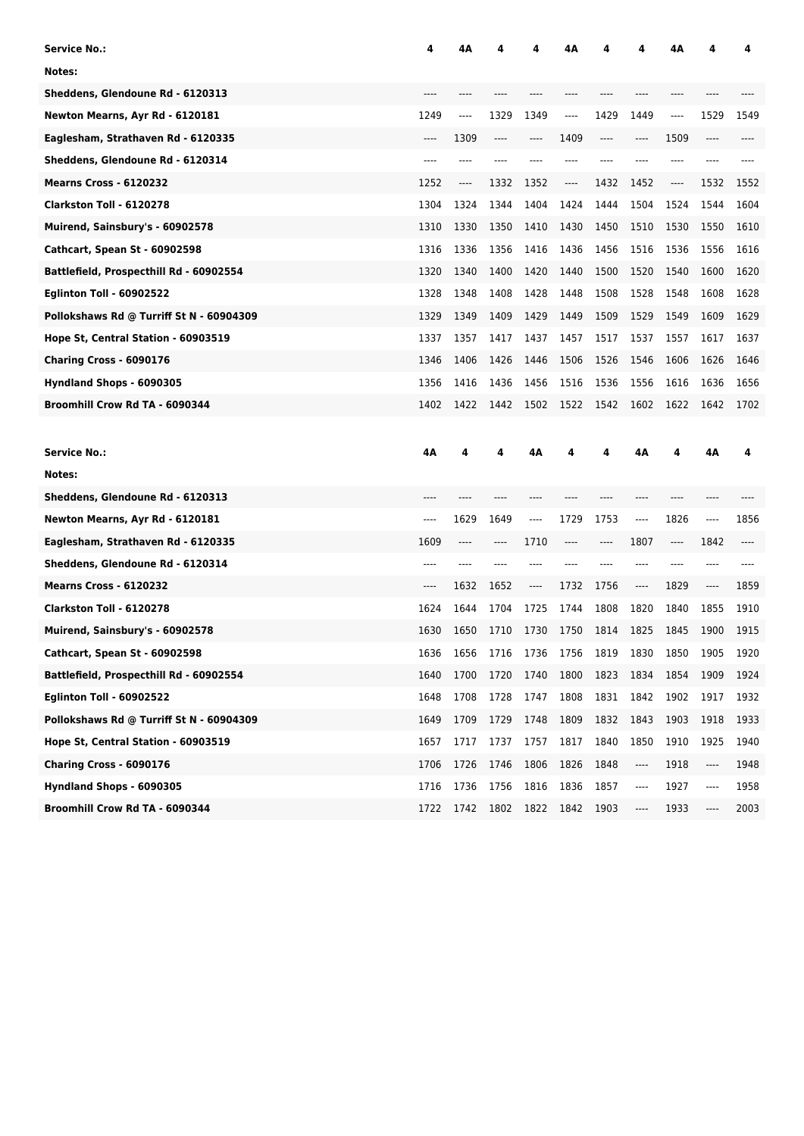| <b>Service No.:</b>                      | 4    | 4Α   |      |      | 4Α   |         |         | 4Α   |      | 4    |
|------------------------------------------|------|------|------|------|------|---------|---------|------|------|------|
| Notes:                                   |      |      |      |      |      |         |         |      |      |      |
| Sheddens, Glendoune Rd - 6120313         |      |      |      |      |      |         |         |      |      |      |
| Newton Mearns, Ayr Rd - 6120181          | 1249 | ---- | 1329 | 1349 | ---- | 1429    | 1449    | ---- | 1529 | 1549 |
| Eaglesham, Strathaven Rd - 6120335       | ---- | 1309 | ---- | ---- | 1409 | $-----$ | ----    | 1509 | ---- |      |
| Sheddens, Glendoune Rd - 6120314         |      |      |      |      |      |         |         |      |      |      |
| <b>Mearns Cross - 6120232</b>            | 1252 | ---- | 1332 | 1352 | ---- | 1432    | 1452    | ---- | 1532 | 1552 |
| Clarkston Toll - 6120278                 | 1304 | 1324 | 1344 | 1404 | 1424 | 1444    | 1504    | 1524 | 1544 | 1604 |
| Muirend, Sainsbury's - 60902578          | 1310 | 1330 | 1350 | 1410 | 1430 | 1450    | 1510    | 1530 | 1550 | 1610 |
| Cathcart, Spean St - 60902598            | 1316 | 1336 | 1356 | 1416 | 1436 | 1456    | 1516    | 1536 | 1556 | 1616 |
| Battlefield, Prospecthill Rd - 60902554  | 1320 | 1340 | 1400 | 1420 | 1440 | 1500    | 1520    | 1540 | 1600 | 1620 |
| <b>Eglinton Toll - 60902522</b>          | 1328 | 1348 | 1408 | 1428 | 1448 | 1508    | 1528    | 1548 | 1608 | 1628 |
| Pollokshaws Rd @ Turriff St N - 60904309 | 1329 | 1349 | 1409 | 1429 | 1449 | 1509    | 1529    | 1549 | 1609 | 1629 |
| Hope St, Central Station - 60903519      | 1337 | 1357 | 1417 | 1437 | 1457 | 1517    | 1537    | 1557 | 1617 | 1637 |
| Charing Cross - 6090176                  | 1346 | 1406 | 1426 | 1446 | 1506 | 1526    | 1546    | 1606 | 1626 | 1646 |
| Hyndland Shops - 6090305                 | 1356 | 1416 | 1436 | 1456 | 1516 | 1536    | 1556    | 1616 | 1636 | 1656 |
| Broomhill Crow Rd TA - 6090344           | 1402 | 1422 | 1442 | 1502 | 1522 | 1542    | 1602    | 1622 | 1642 | 1702 |
|                                          |      |      |      |      |      |         |         |      |      |      |
|                                          |      |      |      |      |      |         |         |      |      |      |
| <b>Service No.:</b>                      | 4Α   | 4    | 4    | 4Α   | 4    | 4       | 4Α      | 4    | 4Α   | 4    |
| Notes:                                   |      |      |      |      |      |         |         |      |      |      |
| Sheddens, Glendoune Rd - 6120313         |      |      |      |      |      |         |         |      |      |      |
| Newton Mearns, Ayr Rd - 6120181          | ---- | 1629 | 1649 | ---- | 1729 | 1753    | ----    | 1826 | ---- | 1856 |
| Eaglesham, Strathaven Rd - 6120335       | 1609 | ---- | ---- | 1710 | ---- | ----    | 1807    | ---- | 1842 |      |
| Sheddens, Glendoune Rd - 6120314         | ---- |      |      |      |      |         |         |      | ---- |      |
| <b>Mearns Cross - 6120232</b>            | ---- | 1632 | 1652 | ---- | 1732 | 1756    | $-----$ | 1829 | ---- | 1859 |
| Clarkston Toll - 6120278                 | 1624 | 1644 | 1704 | 1725 | 1744 | 1808    | 1820    | 1840 | 1855 | 1910 |
| Muirend, Sainsbury's - 60902578          | 1630 | 1650 | 1710 | 1730 | 1750 | 1814    | 1825    | 1845 | 1900 | 1915 |
| Cathcart, Spean St - 60902598            | 1636 | 1656 | 1716 | 1736 | 1756 | 1819    | 1830    | 1850 | 1905 | 1920 |
| Battlefield, Prospecthill Rd - 60902554  | 1640 | 1700 | 1720 | 1740 | 1800 | 1823    | 1834    | 1854 | 1909 | 1924 |
| <b>Eglinton Toll - 60902522</b>          | 1648 | 1708 | 1728 | 1747 | 1808 | 1831    | 1842    | 1902 | 1917 | 1932 |
| Pollokshaws Rd @ Turriff St N - 60904309 | 1649 | 1709 | 1729 | 1748 | 1809 | 1832    | 1843    | 1903 | 1918 | 1933 |
| Hope St, Central Station - 60903519      | 1657 | 1717 | 1737 | 1757 | 1817 | 1840    | 1850    | 1910 | 1925 | 1940 |
| Charing Cross - 6090176                  | 1706 | 1726 | 1746 | 1806 | 1826 | 1848    | ----    | 1918 | ---- | 1948 |
| Hyndland Shops - 6090305                 | 1716 | 1736 | 1756 | 1816 | 1836 | 1857    | ----    | 1927 | ---- | 1958 |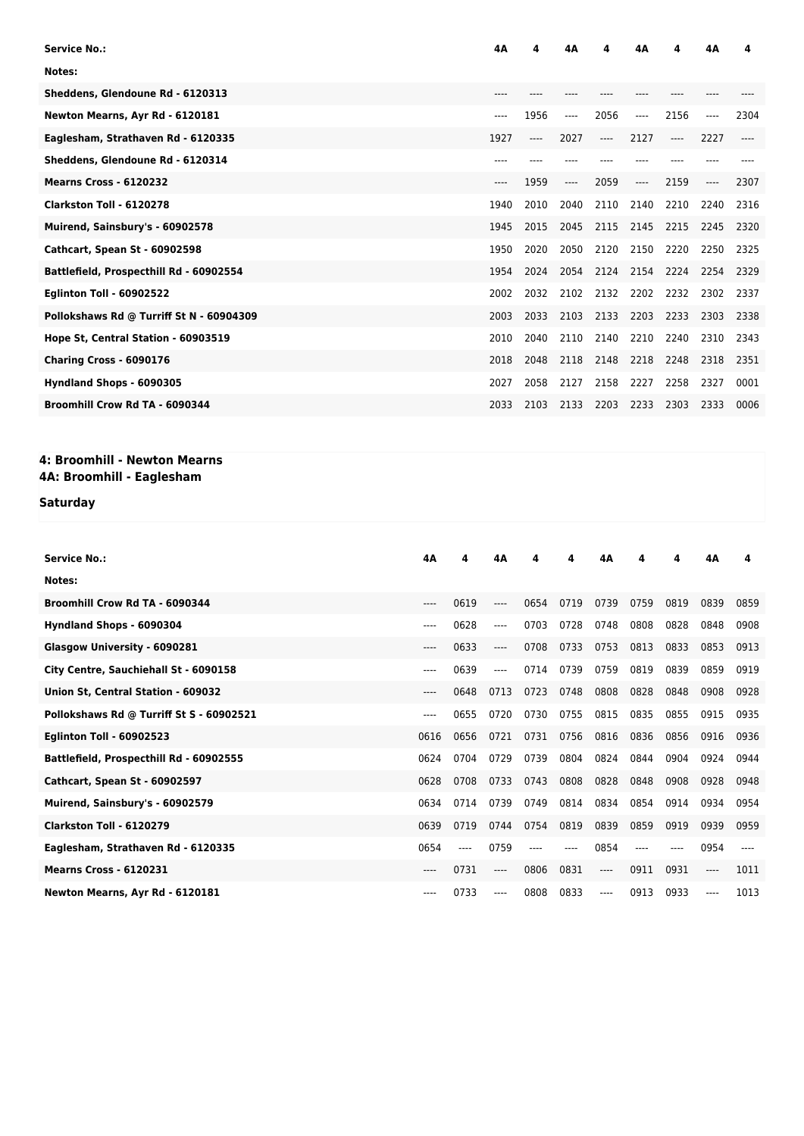| Service No.:                             | 4Α   |       | 4Δ    | Δ              | 4Α    | 4     | 4Α   | 4    |
|------------------------------------------|------|-------|-------|----------------|-------|-------|------|------|
| Notes:                                   |      |       |       |                |       |       |      |      |
| Sheddens, Glendoune Rd - 6120313         | ---- |       |       |                |       |       |      |      |
| Newton Mearns, Ayr Rd - 6120181          | ---- | 1956  | ----  | 2056           | $---$ | 2156  | ---- | 2304 |
| Eaglesham, Strathaven Rd - 6120335       | 1927 | $---$ | 2027  | $---$          | 2127  | $---$ | 2227 |      |
| Sheddens, Glendoune Rd - 6120314         | ---- |       |       |                |       |       |      |      |
| <b>Mearns Cross - 6120232</b>            | ---- | 1959  | $---$ | 2059           | $---$ | 2159  | ---- | 2307 |
| Clarkston Toll - 6120278                 | 1940 | 2010  | 2040  | 2110           | 2140  | 2210  | 2240 | 2316 |
| Muirend, Sainsbury's - 60902578          | 1945 | 2015  | 2045  | 2115           | 2145  | 2215  | 2245 | 2320 |
| <b>Cathcart, Spean St - 60902598</b>     | 1950 | 2020  | 2050  | 2120           | 2150  | 2220  | 2250 | 2325 |
| Battlefield, Prospecthill Rd - 60902554  | 1954 | 2024  |       | 2054 2124 2154 |       | 2224  | 2254 | 2329 |
| <b>Eglinton Toll - 60902522</b>          | 2002 | 2032  | 2102  | 2132           | 2202  | 2232  | 2302 | 2337 |
| Pollokshaws Rd @ Turriff St N - 60904309 | 2003 | 2033  |       | 2103 2133 2203 |       | 2233  | 2303 | 2338 |
| Hope St, Central Station - 60903519      | 2010 | 2040  | 2110  | 2140           | 2210  | 2240  | 2310 | 2343 |
| Charing Cross - 6090176                  | 2018 | 2048  | 2118  | 2148           | 2218  | 2248  | 2318 | 2351 |
| Hyndland Shops - 6090305                 | 2027 | 2058  | 2127  | 2158           | 2227  | 2258  | 2327 | 0001 |
| Broomhill Crow Rd TA - 6090344           | 2033 | 2103  | 2133  | 2203           | 2233  | 2303  | 2333 | 0006 |

# **4: Broomhill - Newton Mearns**

## **4A: Broomhill - Eaglesham**

### **Saturday**

| <b>Service No.:</b>                      | 4A    | 4    | 4Α       | Δ    | 4    | 4Α    | 4    | 4    | 4Α   | 4    |
|------------------------------------------|-------|------|----------|------|------|-------|------|------|------|------|
| Notes:                                   |       |      |          |      |      |       |      |      |      |      |
| Broomhill Crow Rd TA - 6090344           | $---$ | 0619 | ----     | 0654 | 0719 | 0739  | 0759 | 0819 | 0839 | 0859 |
| Hyndland Shops - 6090304                 | ----  | 0628 | $---$    | 0703 | 0728 | 0748  | 0808 | 0828 | 0848 | 0908 |
| Glasgow University - 6090281             | ----  | 0633 | ----     | 0708 | 0733 | 0753  | 0813 | 0833 | 0853 | 0913 |
| City Centre, Sauchiehall St - 6090158    | ----  | 0639 | ----     | 0714 | 0739 | 0759  | 0819 | 0839 | 0859 | 0919 |
| Union St, Central Station - 609032       | $---$ | 0648 | 0713     | 0723 | 0748 | 0808  | 0828 | 0848 | 0908 | 0928 |
| Pollokshaws Rd @ Turriff St S - 60902521 | ----  | 0655 | 0720     | 0730 | 0755 | 0815  | 0835 | 0855 | 0915 | 0935 |
| <b>Eglinton Toll - 60902523</b>          | 0616  | 0656 | 0721     | 0731 | 0756 | 0816  | 0836 | 0856 | 0916 | 0936 |
| Battlefield, Prospecthill Rd - 60902555  | 0624  | 0704 | 0729     | 0739 | 0804 | 0824  | 0844 | 0904 | 0924 | 0944 |
| <b>Cathcart, Spean St - 60902597</b>     | 0628  | 0708 | 0733     | 0743 | 0808 | 0828  | 0848 | 0908 | 0928 | 0948 |
| Muirend, Sainsbury's - 60902579          | 0634  | 0714 | 0739     | 0749 | 0814 | 0834  | 0854 | 0914 | 0934 | 0954 |
| Clarkston Toll - 6120279                 | 0639  | 0719 | 0744     | 0754 | 0819 | 0839  | 0859 | 0919 | 0939 | 0959 |
| Eaglesham, Strathaven Rd - 6120335       | 0654  |      | 0759     |      |      | 0854  |      |      | 0954 |      |
| <b>Mearns Cross - 6120231</b>            | ----  | 0731 | $\cdots$ | 0806 | 0831 | $---$ | 0911 | 0931 | ---- | 1011 |
| Newton Mearns, Ayr Rd - 6120181          | ----  | 0733 | ----     | 0808 | 0833 | ----  | 0913 | 0933 | ---- | 1013 |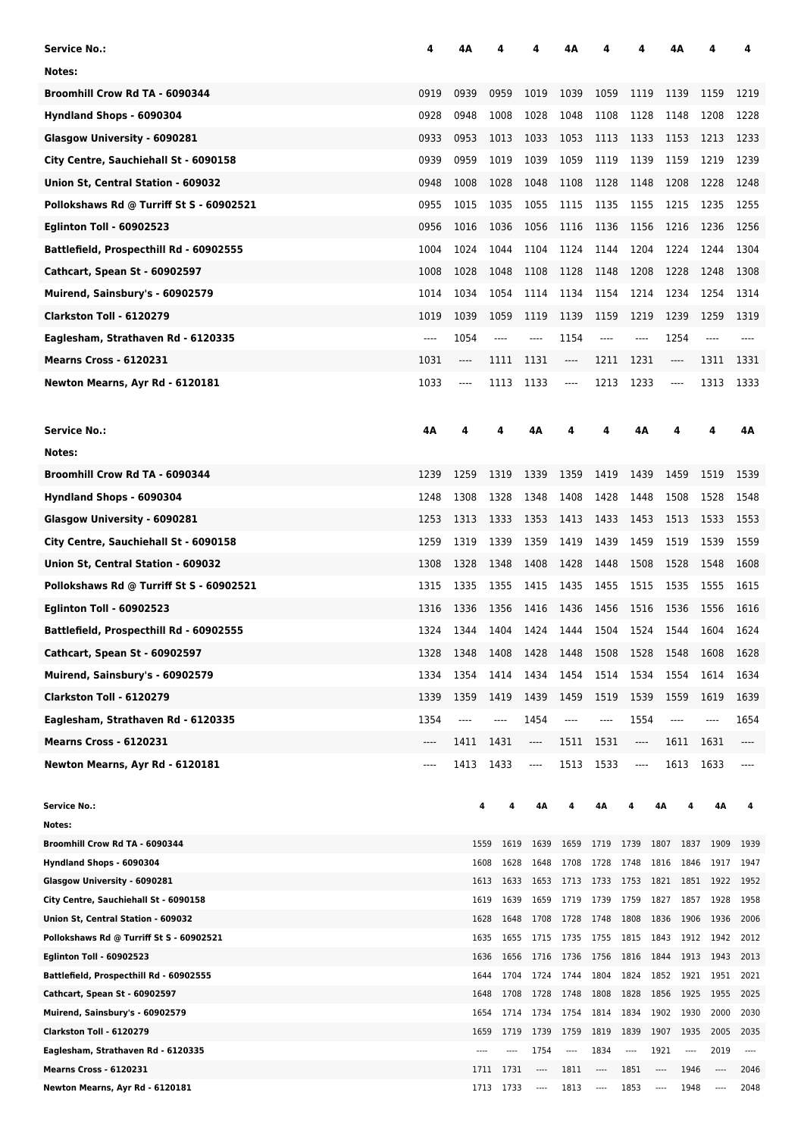| Service No.:                                                                | 4    | 4Α    |                              |              | 4Α      |                           |      |                         | 4Α                            |              | 4            |
|-----------------------------------------------------------------------------|------|-------|------------------------------|--------------|---------|---------------------------|------|-------------------------|-------------------------------|--------------|--------------|
| Notes:                                                                      |      |       |                              |              |         |                           |      |                         |                               |              |              |
| Broomhill Crow Rd TA - 6090344                                              | 0919 | 0939  | 0959                         | 1019         | 1039    | 1059                      | 1119 | 1139                    |                               | 1159         | 1219         |
| Hyndland Shops - 6090304                                                    | 0928 | 0948  | 1008                         | 1028         | 1048    | 1108                      | 1128 | 1148                    |                               | 1208         | 1228         |
| Glasgow University - 6090281                                                | 0933 | 0953  | 1013                         | 1033         | 1053    | 1113                      | 1133 | 1153                    |                               | 1213         | 1233         |
| City Centre, Sauchiehall St - 6090158                                       | 0939 | 0959  | 1019                         | 1039         | 1059    | 1119                      | 1139 | 1159                    |                               | 1219         | 1239         |
| Union St, Central Station - 609032                                          | 0948 | 1008  | 1028                         | 1048         | 1108    | 1128                      | 1148 | 1208                    |                               | 1228         | 1248         |
| Pollokshaws Rd @ Turriff St S - 60902521                                    | 0955 | 1015  | 1035                         | 1055         | 1115    | 1135                      | 1155 | 1215                    |                               | 1235         | 1255         |
| <b>Eglinton Toll - 60902523</b>                                             | 0956 | 1016  | 1036                         | 1056         | 1116    | 1136                      | 1156 | 1216                    |                               | 1236         | 1256         |
|                                                                             | 1004 |       |                              |              |         |                           |      |                         |                               |              | 1304         |
| Battlefield, Prospecthill Rd - 60902555                                     |      | 1024  | 1044                         | 1104         | 1124    | 1144                      | 1204 | 1224                    |                               | 1244         |              |
| Cathcart, Spean St - 60902597                                               | 1008 | 1028  | 1048                         | 1108         | 1128    | 1148                      | 1208 | 1228                    |                               | 1248         | 1308         |
| Muirend, Sainsbury's - 60902579                                             | 1014 | 1034  | 1054                         | 1114         | 1134    | 1154                      | 1214 | 1234                    |                               | 1254         | 1314         |
| Clarkston Toll - 6120279                                                    | 1019 | 1039  | 1059                         | 1119         | 1139    | 1159                      | 1219 | 1239                    |                               | 1259         | 1319         |
| Eaglesham, Strathaven Rd - 6120335                                          | ---- | 1054  | ----                         | $-----$      | 1154    | $-----$                   | ---- |                         | 1254                          | ----         |              |
| <b>Mearns Cross - 6120231</b>                                               | 1031 | ----  | 1111                         | 1131         | ----    | 1211                      | 1231 |                         | $\hspace{1.5cm} \textbf{---}$ | 1311         | 1331         |
| Newton Mearns, Ayr Rd - 6120181                                             | 1033 | ----  | 1113                         | 1133         | $-----$ | 1213                      | 1233 |                         | $\hspace{1.5cm} \textbf{---}$ | 1313         | 1333         |
| <b>Service No.:</b>                                                         | 4Α   |       |                              | 4Α           |         |                           | 4Α   | 4                       |                               | 4            | 4Α           |
| Notes:                                                                      |      |       |                              |              |         |                           |      |                         |                               |              |              |
| Broomhill Crow Rd TA - 6090344                                              | 1239 | 1259  | 1319                         | 1339         | 1359    | 1419                      | 1439 | 1459                    |                               | 1519         | 1539         |
| Hyndland Shops - 6090304                                                    | 1248 | 1308  | 1328                         | 1348         | 1408    | 1428                      | 1448 | 1508                    |                               | 1528         | 1548         |
| Glasgow University - 6090281                                                | 1253 | 1313  | 1333                         | 1353         | 1413    | 1433                      | 1453 | 1513                    |                               | 1533         | 1553         |
| City Centre, Sauchiehall St - 6090158                                       | 1259 | 1319  | 1339                         | 1359         | 1419    | 1439                      | 1459 | 1519                    |                               | 1539         | 1559         |
| Union St, Central Station - 609032                                          | 1308 | 1328  | 1348                         | 1408         | 1428    | 1448                      | 1508 | 1528                    |                               | 1548         | 1608         |
| Pollokshaws Rd @ Turriff St S - 60902521                                    | 1315 | 1335  | 1355                         | 1415         | 1435    | 1455                      | 1515 | 1535                    |                               | 1555         | 1615         |
| <b>Eglinton Toll - 60902523</b>                                             | 1316 | 1336  | 1356                         | 1416         | 1436    | 1456                      | 1516 | 1536                    |                               | 1556         | 1616         |
| Battlefield, Prospecthill Rd - 60902555                                     | 1324 | 1344  | 1404                         | 1424         | 1444    | 1504                      | 1524 |                         | 1544                          | 1604         | 1624         |
| Cathcart, Spean St - 60902597                                               | 1328 | 1348  | 1408                         | 1428         | 1448    | 1508                      | 1528 |                         | 1548                          | 1608         | 1628         |
| Muirend, Sainsbury's - 60902579                                             | 1334 | 1354  | 1414                         | 1434         | 1454    | 1514                      | 1534 |                         | 1554                          | 1614         | 1634         |
| Clarkston Toll - 6120279                                                    | 1339 | 1359  | 1419                         | 1439         | 1459    | 1519                      | 1539 | 1559                    |                               | 1619         | 1639         |
| Eaglesham, Strathaven Rd - 6120335                                          | 1354 | $---$ | ----                         | 1454         | $---$   | ----                      | 1554 | $---$                   |                               | ----         | 1654         |
| Mearns Cross - 6120231                                                      | ---- | 1411  | 1431                         | $\cdots$     | 1511    | 1531                      | ---- |                         | 1611                          | 1631         | ----         |
| Newton Mearns, Ayr Rd - 6120181                                             | ---- | 1413  | 1433                         | ----         | 1513    | 1533                      | ---- |                         | 1613                          | 1633         |              |
| <b>Service No.:</b>                                                         |      |       | 4                            | 4Δ           |         | 4Α                        |      | 4Α                      |                               | 4Α           |              |
| Notes:                                                                      |      |       |                              |              |         |                           |      |                         |                               |              |              |
| Broomhill Crow Rd TA - 6090344                                              |      |       | 1559<br>1619                 | 1639         | 1659    | 1719 1739                 |      | 1807                    | 1837                          | 1909         | 1939         |
| Hyndland Shops - 6090304                                                    |      |       | 1608<br>1628                 | 1648         | 1708    | 1728                      | 1748 | 1816                    | 1846                          | 1917         | 1947         |
| Glasgow University - 6090281                                                |      |       | 1613<br>1633                 | 1653         | 1713    | 1733 1753 1821            |      |                         |                               | 1851 1922    | 1952         |
| City Centre, Sauchiehall St - 6090158                                       |      |       | 1619<br>1639                 | 1659         | 1719    | 1739 1759                 |      | 1827                    | 1857                          | 1928         | 1958         |
| Union St, Central Station - 609032                                          |      |       | 1628<br>1648                 | 1708         | 1728    | 1748                      | 1808 | 1836                    | 1906                          | 1936         | 2006         |
| Pollokshaws Rd @ Turriff St S - 60902521<br><b>Eglinton Toll - 60902523</b> |      |       | 1635<br>1655<br>1636<br>1656 | 1715<br>1716 | 1735    | 1755<br>1736 1756 1816    | 1815 | 1843<br>1844            | 1912<br>1913                  | 1942<br>1943 | 2012<br>2013 |
| Battlefield, Prospecthill Rd - 60902555                                     |      |       | 1704<br>1644                 | 1724         | 1744    | 1804                      | 1824 | 1852                    | 1921                          | 1951         | 2021         |
| Cathcart, Spean St - 60902597                                               |      |       | 1708<br>1648                 | 1728         | 1748    | 1808                      | 1828 | 1856                    | 1925                          | 1955         | 2025         |
| Muirend, Sainsbury's - 60902579                                             |      |       | 1654<br>1714                 | 1734         | 1754    | 1814                      | 1834 | 1902                    | 1930                          | 2000         | 2030         |
| Clarkston Toll - 6120279                                                    |      |       | 1659<br>1719                 | 1739         | 1759    | 1819                      | 1839 | 1907                    | 1935                          | 2005         | 2035         |
| Eaglesham, Strathaven Rd - 6120335                                          |      |       | ----                         | 1754         | ----    | 1834                      | ---- | 1921                    | ----                          | 2019         | $-----$      |
| <b>Mearns Cross - 6120231</b>                                               |      |       | 1711<br>1731                 | ----         | 1811    | ----                      | 1851 | ----                    | 1946                          | ----         | 2046         |
| Newton Mearns, Ayr Rd - 6120181                                             |      |       | 1713 1733                    | $\cdots$     | 1813    | $\hspace{0.05cm}\ldots$ . | 1853 | $\hspace{0.05cm}\ldots$ | 1948                          | ----         | 2048         |